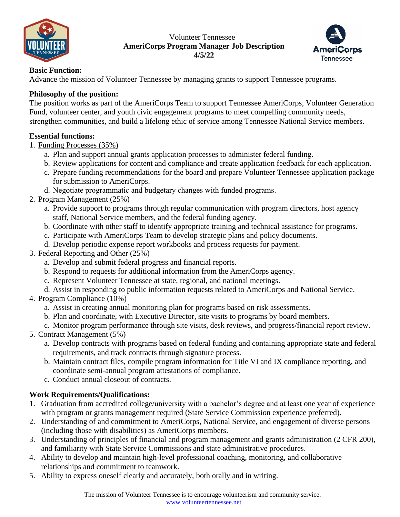

#### Volunteer Tennessee **AmeriCorps Program Manager Job Description 4/5/22**



# **Basic Function:**

Advance the mission of Volunteer Tennessee by managing grants to support Tennessee programs.

### **Philosophy of the position:**

The position works as part of the AmeriCorps Team to support Tennessee AmeriCorps, Volunteer Generation Fund, volunteer center, and youth civic engagement programs to meet compelling community needs, strengthen communities, and build a lifelong ethic of service among Tennessee National Service members.

## **Essential functions:**

- 1. Funding Processes (35%)
	- a. Plan and support annual grants application processes to administer federal funding.
	- b. Review applications for content and compliance and create application feedback for each application.
	- c. Prepare funding recommendations for the board and prepare Volunteer Tennessee application package for submission to AmeriCorps.
	- d. Negotiate programmatic and budgetary changes with funded programs.
- 2. Program Management (25%)
	- a. Provide support to programs through regular communication with program directors, host agency staff, National Service members, and the federal funding agency.
	- b. Coordinate with other staff to identify appropriate training and technical assistance for programs.
	- c. Participate with AmeriCorps Team to develop strategic plans and policy documents.
	- d. Develop periodic expense report workbooks and process requests for payment.
- 3. Federal Reporting and Other (25%)
	- a. Develop and submit federal progress and financial reports.
	- b. Respond to requests for additional information from the AmeriCorps agency.
	- c. Represent Volunteer Tennessee at state, regional, and national meetings.
	- d. Assist in responding to public information requests related to AmeriCorps and National Service.
- 4. Program Compliance (10%)
	- a. Assist in creating annual monitoring plan for programs based on risk assessments.
	- b. Plan and coordinate, with Executive Director, site visits to programs by board members.
	- c. Monitor program performance through site visits, desk reviews, and progress/financial report review.
- 5. Contract Management (5%)
	- a. Develop contracts with programs based on federal funding and containing appropriate state and federal requirements, and track contracts through signature process.
	- b. Maintain contract files, compile program information for Title VI and IX compliance reporting, and coordinate semi-annual program attestations of compliance.
	- c. Conduct annual closeout of contracts.

# **Work Requirements/Qualifications:**

- 1. Graduation from accredited college/university with a bachelor's degree and at least one year of experience with program or grants management required (State Service Commission experience preferred).
- 2. Understanding of and commitment to AmeriCorps, National Service, and engagement of diverse persons (including those with disabilities) as AmeriCorps members.
- 3. Understanding of principles of financial and program management and grants administration (2 CFR 200), and familiarity with State Service Commissions and state administrative procedures.
- 4. Ability to develop and maintain high-level professional coaching, monitoring, and collaborative relationships and commitment to teamwork.
- 5. Ability to express oneself clearly and accurately, both orally and in writing.